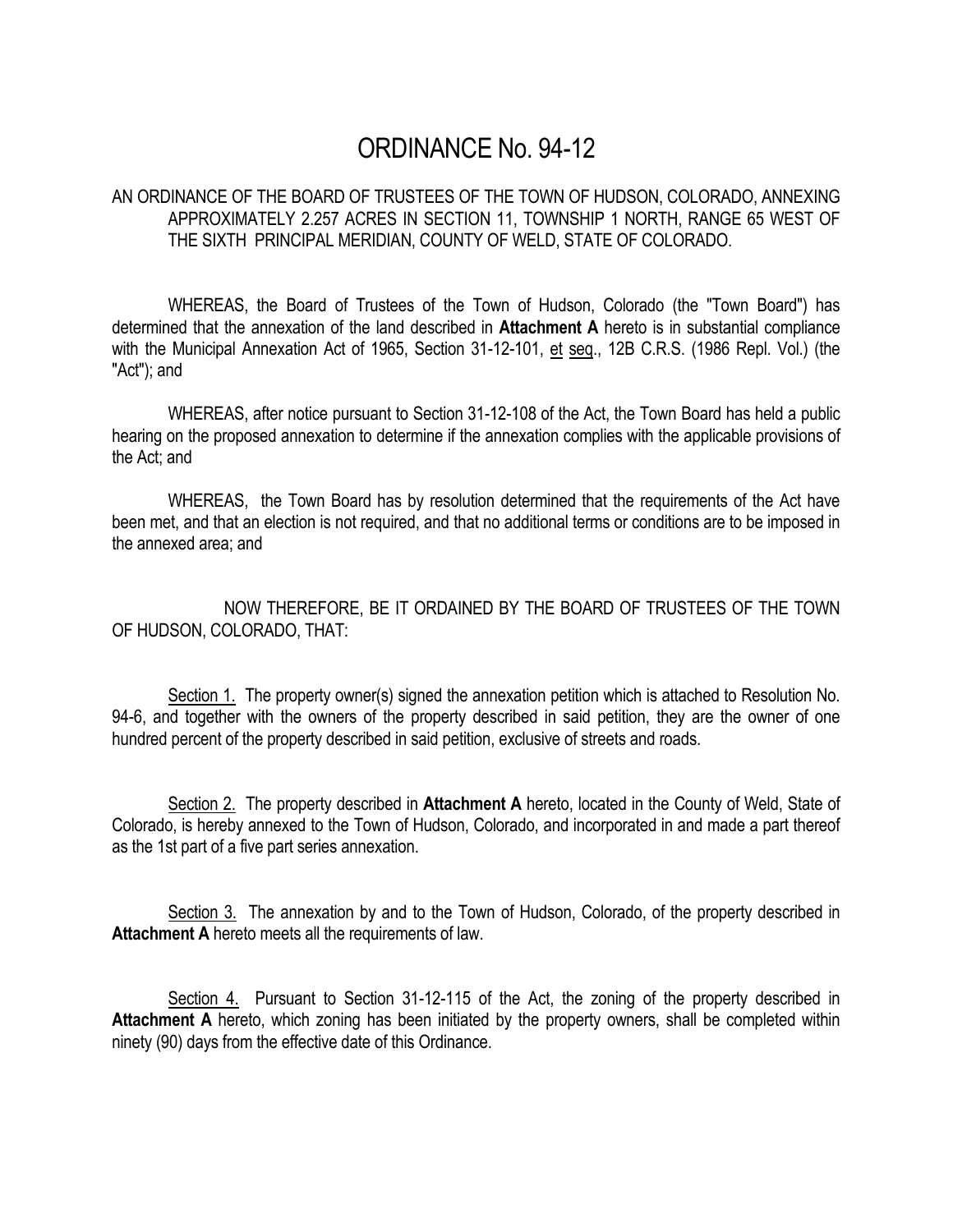# ORDINANCE No. 94-12

### AN ORDINANCE OF THE BOARD OF TRUSTEES OF THE TOWN OF HUDSON, COLORADO, ANNEXING APPROXIMATELY 2.257 ACRES IN SECTION 11, TOWNSHIP 1 NORTH, RANGE 65 WEST OF THE SIXTH PRINCIPAL MERIDIAN, COUNTY OF WELD, STATE OF COLORADO.

WHEREAS, the Board of Trustees of the Town of Hudson, Colorado (the "Town Board") has determined that the annexation of the land described in **Attachment A** hereto is in substantial compliance with the Municipal Annexation Act of 1965, Section 31-12-101, et seq., 12B C.R.S. (1986 Repl. Vol.) (the "Act"); and

WHEREAS, after notice pursuant to Section 31-12-108 of the Act, the Town Board has held a public hearing on the proposed annexation to determine if the annexation complies with the applicable provisions of the Act; and

WHEREAS, the Town Board has by resolution determined that the requirements of the Act have been met, and that an election is not required, and that no additional terms or conditions are to be imposed in the annexed area; and

NOW THEREFORE, BE IT ORDAINED BY THE BOARD OF TRUSTEES OF THE TOWN OF HUDSON, COLORADO, THAT:

Section 1. The property owner(s) signed the annexation petition which is attached to Resolution No. 94-6, and together with the owners of the property described in said petition, they are the owner of one hundred percent of the property described in said petition, exclusive of streets and roads.

Section 2. The property described in **Attachment A** hereto, located in the County of Weld, State of Colorado, is hereby annexed to the Town of Hudson, Colorado, and incorporated in and made a part thereof as the 1st part of a five part series annexation.

Section 3. The annexation by and to the Town of Hudson, Colorado, of the property described in **Attachment A** hereto meets all the requirements of law.

Section 4. Pursuant to Section 31-12-115 of the Act, the zoning of the property described in Attachment A hereto, which zoning has been initiated by the property owners, shall be completed within ninety (90) days from the effective date of this Ordinance.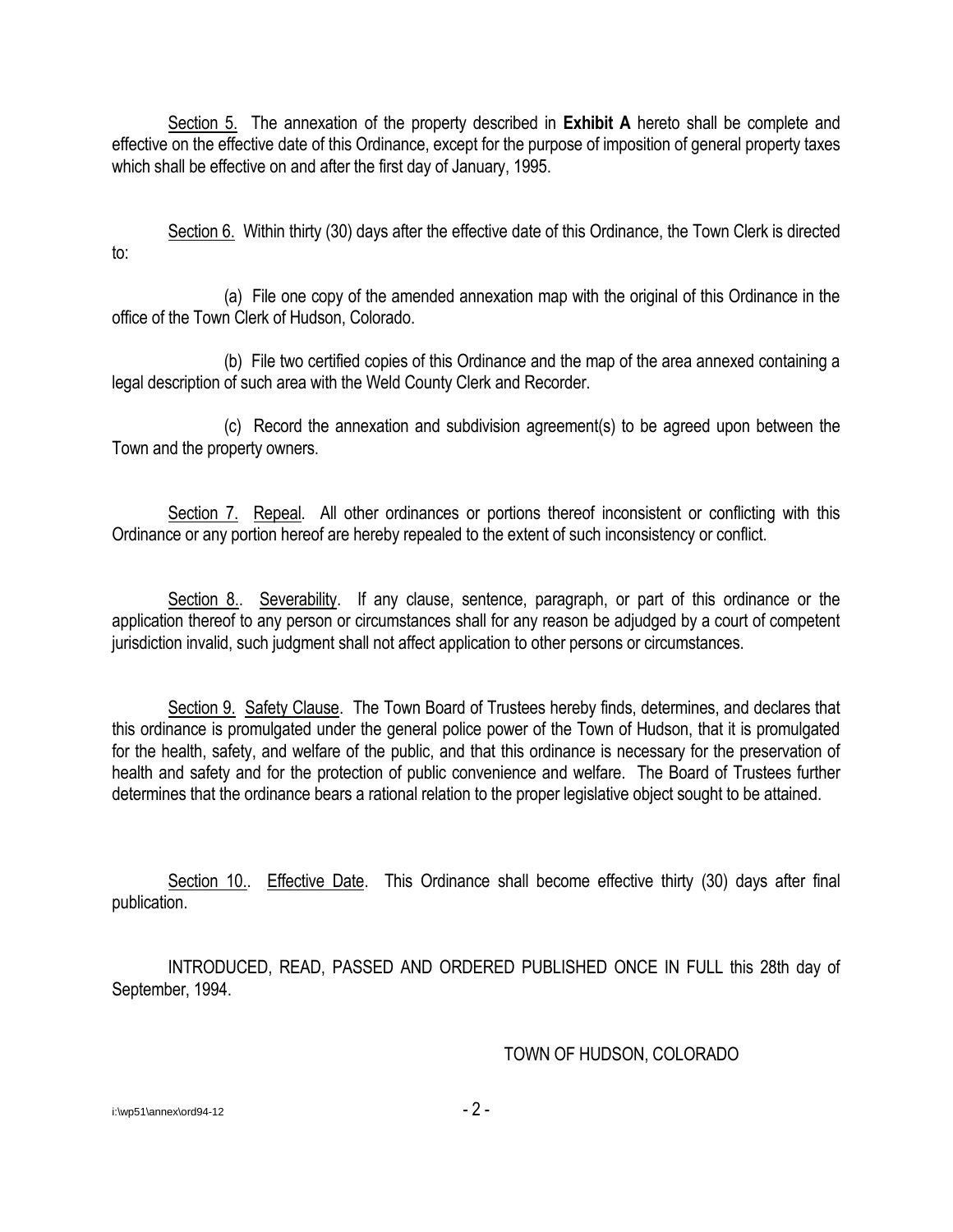Section 5. The annexation of the property described in **Exhibit A** hereto shall be complete and effective on the effective date of this Ordinance, except for the purpose of imposition of general property taxes which shall be effective on and after the first day of January, 1995.

Section 6. Within thirty (30) days after the effective date of this Ordinance, the Town Clerk is directed to:

(a) File one copy of the amended annexation map with the original of this Ordinance in the office of the Town Clerk of Hudson, Colorado.

(b) File two certified copies of this Ordinance and the map of the area annexed containing a legal description of such area with the Weld County Clerk and Recorder.

(c) Record the annexation and subdivision agreement(s) to be agreed upon between the Town and the property owners.

Section 7. Repeal. All other ordinances or portions thereof inconsistent or conflicting with this Ordinance or any portion hereof are hereby repealed to the extent of such inconsistency or conflict.

Section 8.. Severability. If any clause, sentence, paragraph, or part of this ordinance or the application thereof to any person or circumstances shall for any reason be adjudged by a court of competent jurisdiction invalid, such judgment shall not affect application to other persons or circumstances.

Section 9. Safety Clause. The Town Board of Trustees hereby finds, determines, and declares that this ordinance is promulgated under the general police power of the Town of Hudson, that it is promulgated for the health, safety, and welfare of the public, and that this ordinance is necessary for the preservation of health and safety and for the protection of public convenience and welfare. The Board of Trustees further determines that the ordinance bears a rational relation to the proper legislative object sought to be attained.

Section 10.. Effective Date. This Ordinance shall become effective thirty (30) days after final publication.

INTRODUCED, READ, PASSED AND ORDERED PUBLISHED ONCE IN FULL this 28th day of September, 1994.

### TOWN OF HUDSON, COLORADO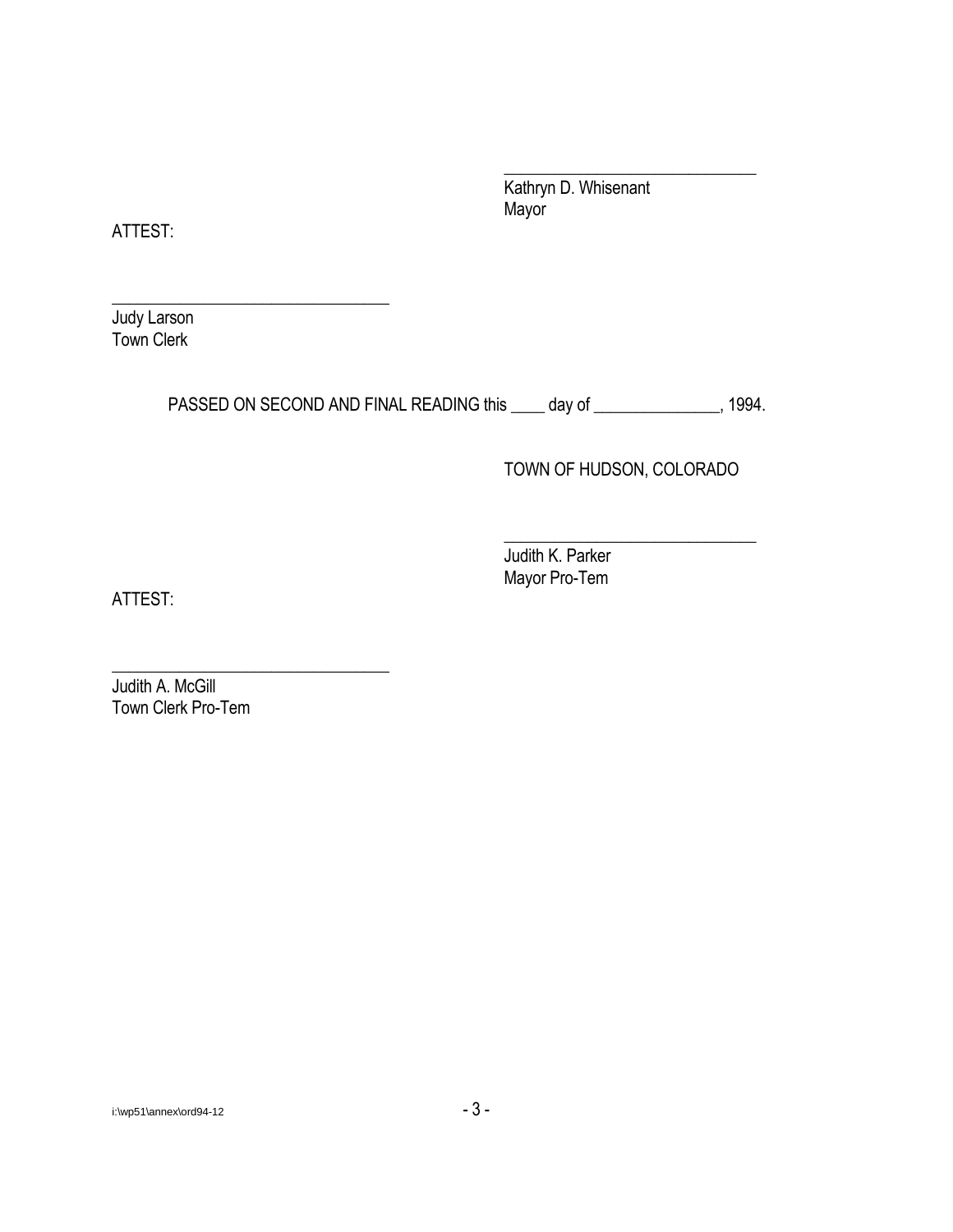Kathryn D. Whisenant Mayor

\_\_\_\_\_\_\_\_\_\_\_\_\_\_\_\_\_\_\_\_\_\_\_\_\_\_\_\_\_\_

ATTEST:

Judy Larson Town Clerk

\_\_\_\_\_\_\_\_\_\_\_\_\_\_\_\_\_\_\_\_\_\_\_\_\_\_\_\_\_\_\_\_\_

\_\_\_\_\_\_\_\_\_\_\_\_\_\_\_\_\_\_\_\_\_\_\_\_\_\_\_\_\_\_\_\_\_

PASSED ON SECOND AND FINAL READING this \_\_\_\_ day of \_\_\_\_\_\_\_\_\_\_\_\_\_\_, 1994.

## TOWN OF HUDSON, COLORADO

\_\_\_\_\_\_\_\_\_\_\_\_\_\_\_\_\_\_\_\_\_\_\_\_\_\_\_\_\_\_

Judith K. Parker Mayor Pro-Tem

ATTEST:

Judith A. McGill Town Clerk Pro-Tem